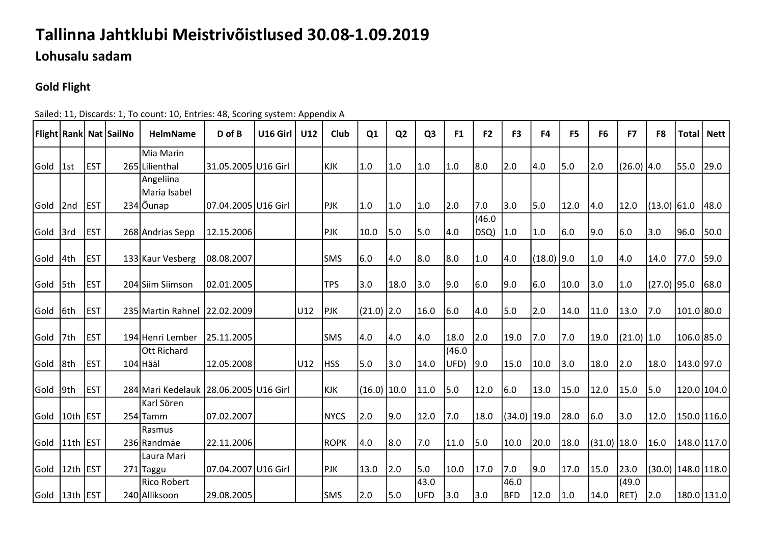## Tallinna Jahtklubi Meistrivõistlused 30.08-1.09.2019

Lohusalu sadam

## Gold Flight

|               |              |             | Flight Rank Nat SailNo | <b>HelmName</b>                       | D of B              | U16 Girl | U12 | Club        | Q <sub>1</sub> | Q <sub>2</sub> | Q <sub>3</sub> | F <sub>1</sub> | F <sub>2</sub> | F <sub>3</sub> | F <sub>4</sub> | F <sub>5</sub> | F <sub>6</sub> | F7              | F <sub>8</sub> | <b>Total</b> | <b>Nett</b>           |
|---------------|--------------|-------------|------------------------|---------------------------------------|---------------------|----------|-----|-------------|----------------|----------------|----------------|----------------|----------------|----------------|----------------|----------------|----------------|-----------------|----------------|--------------|-----------------------|
|               |              |             |                        | Mia Marin                             |                     |          |     |             |                |                |                |                |                |                |                |                |                |                 |                |              |                       |
| Gold          | 1st          | <b>EST</b>  |                        | 265 Lilienthal                        | 31.05.2005 U16 Girl |          |     | KJK         | 1.0            | 1.0            | 1.0            | 1.0            | 8.0            | 2.0            | 4.0            | 5.0            | 2.0            | (26.0) 4.0      |                | 55.0         | 29.0                  |
|               |              |             |                        | Angeliina                             |                     |          |     |             |                |                |                |                |                |                |                |                |                |                 |                |              |                       |
|               |              |             |                        | Maria Isabel                          |                     |          |     |             |                |                |                |                |                |                |                |                |                |                 |                |              |                       |
| Gold          | 2nd          | <b>EST</b>  |                        | 234 Öunap                             | 07.04.2005 U16 Girl |          |     | <b>PJK</b>  | 1.0            | 1.0            | 1.0            | 2.0            | 7.0            | 3.0            | 5.0            | 12.0           | 4.0            | 12.0            | $(13.0)$ 61.0  |              | 48.0                  |
|               |              |             |                        |                                       |                     |          |     |             |                |                |                |                | (46.0)         |                |                |                |                |                 |                |              |                       |
| Gold          | 3rd          | <b>EST</b>  |                        | 268 Andrias Sepp                      | 12.15.2006          |          |     | <b>PJK</b>  | 10.0           | 5.0            | 5.0            | 4.0            | DSQ)           | 1.0            | $1.0$          | 6.0            | 9.0            | 6.0             | 3.0            | 96.0         | 50.0                  |
|               |              |             |                        |                                       |                     |          |     |             |                |                |                |                |                |                |                |                |                |                 |                |              |                       |
| Gold          | l4th         | lest        |                        | 133 Kaur Vesberg                      | 08.08.2007          |          |     | lsms        | 6.0            | 4.0            | 8.0            | 8.0            | 1.0            | 4.0            | $(18.0)$ 9.0   |                | 1.0            | 4.0             | 14.0           | 77.0         | 59.0                  |
|               |              |             |                        |                                       |                     |          |     |             |                |                |                |                |                |                |                |                |                |                 |                |              |                       |
| Gold          | 5th          | <b>EST</b>  |                        | 204 Siim Siimson                      | 02.01.2005          |          |     | <b>TPS</b>  | 3.0            | 18.0           | 3.0            | 9.0            | 6.0            | 9.0            | 6.0            | 10.0           | 3.0            | 1.0             | $(27.0)$ 95.0  |              | 68.0                  |
|               |              |             |                        |                                       |                     |          |     |             |                |                |                |                |                |                |                |                |                |                 |                |              |                       |
| Gold 6th      |              | lest        |                        | 235 Martin Rahnel 22.02.2009          |                     |          | U12 | <b>PJK</b>  | $(21.0)$ 2.0   |                | 16.0           | 6.0            | 4.0            | 5.0            | 2.0            | 14.0           | 11.0           | 13.0            | 7.0            | 101.0 80.0   |                       |
|               |              |             |                        |                                       |                     |          |     |             |                |                |                |                |                |                |                |                |                |                 |                |              |                       |
| Gold          | 7th          | <b>EST</b>  |                        | 194 Henri Lember                      | 25.11.2005          |          |     | <b>SMS</b>  | 4.0            | 4.0            | 4.0            | 18.0           | 2.0            | 19.0           | 7.0            | 7.0            | 19.0           | $(21.0)$ $ 1.0$ |                | 106.085.0    |                       |
|               | 8th          | <b>IEST</b> |                        | <b>Ott Richard</b><br>$104$ Hääl      | 12.05.2008          |          | U12 |             | 5.0            | 3.0            | 14.0           | (46.0)         |                | 15.0           |                | 3.0            | 18.0           | 2.0             | 18.0           |              |                       |
| Gold          |              |             |                        |                                       |                     |          |     | <b>HSS</b>  |                |                |                | UFD)           | 9.0            |                | 10.0           |                |                |                 |                | 143.0 97.0   |                       |
| Gold          | 9th          | <b>EST</b>  |                        | 284 Mari Kedelauk 28.06.2005 U16 Girl |                     |          |     | <b>KJK</b>  | $(16.0)$ 10.0  |                | 11.0           | 5.0            | 12.0           | 6.0            | 13.0           | 15.0           | 12.0           | 15.0            | $\vert$ 5.0    | 120.0 104.0  |                       |
|               |              |             |                        | Karl Sören                            |                     |          |     |             |                |                |                |                |                |                |                |                |                |                 |                |              |                       |
| Gold          | 10th   EST   |             |                        | $254$ Tamm                            | 07.02.2007          |          |     | <b>NYCS</b> | 2.0            | 9.0            | 12.0           | 7.0            | 18.0           | $(34.0)$ 19.0  |                | 28.0           | 6.0            | 3.0             | 12.0           |              | 150.0 116.0           |
|               |              |             |                        | Rasmus                                |                     |          |     |             |                |                |                |                |                |                |                |                |                |                 |                |              |                       |
| Gold          | $ 11th $ EST |             |                        | 236 Randmäe                           | 22.11.2006          |          |     | <b>ROPK</b> | 4.0            | 8.0            | 7.0            | 11.0           | 5.0            | 10.0           | 20.0           | 18.0           | $(31.0)$ 18.0  |                 | 16.0           |              | 148.0 117.0           |
|               |              |             |                        | Laura Mari                            |                     |          |     |             |                |                |                |                |                |                |                |                |                |                 |                |              |                       |
| Gold 12th EST |              |             |                        | 271 Taggu                             | 07.04.2007 U16 Girl |          |     | <b>PJK</b>  | 13.0           | 2.0            | 5.0            | 10.0           | 17.0           | 7.0            | 9.0            | 17.0           | 15.0           | 23.0            |                |              | (30.0)  148.0   118.0 |
|               |              |             |                        | Rico Robert                           |                     |          |     |             |                |                | 43.0           |                |                | 46.0           |                |                |                | (49.0)          |                |              |                       |
| Gold 13th EST |              |             |                        | 240 Alliksoon                         | 29.08.2005          |          |     | <b>SMS</b>  | 2.0            | 5.0            | UFD            | 3.0            | 3.0            | BFD            | 12.0           | 1.0            | 14.0           | $ RET\rangle$   | 2.0            |              | 180.0 131.0           |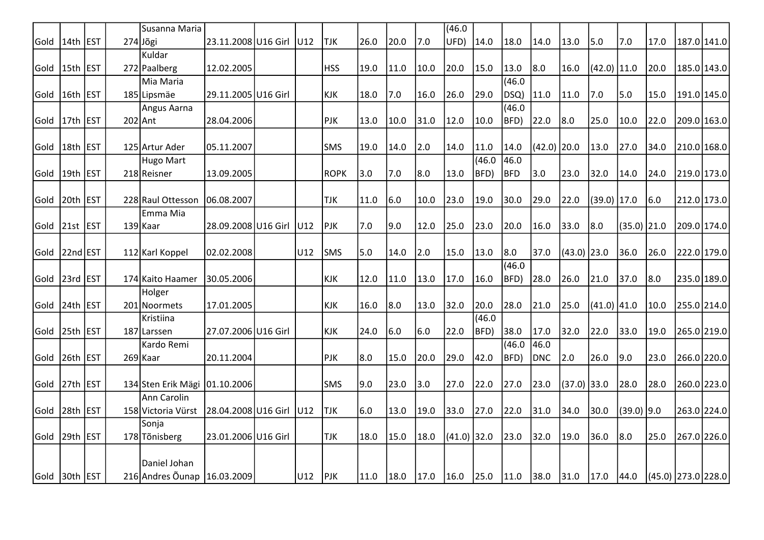|      |                  |            | Susanna Maria                   |                     |      |              |      |      |      | (46.0)        |                |        |               |               |               |                |                      |             |             |
|------|------------------|------------|---------------------------------|---------------------|------|--------------|------|------|------|---------------|----------------|--------|---------------|---------------|---------------|----------------|----------------------|-------------|-------------|
| Gold | 14th EST         |            | $274$ Jõgi                      | 23.11.2008 U16 Girl | IU12 | TJK.         | 26.0 | 20.0 | 7.0  | UFD)          | 14.0           | 18.0   | 14.0          | 13.0          | 5.0           | 7.0            | 17.0                 |             | 187.0 141.0 |
|      |                  |            | Kuldar                          |                     |      |              |      |      |      |               |                |        |               |               |               |                |                      |             |             |
| Gold | 15th EST         |            | 272 Paalberg                    | 12.02.2005          |      | <b>I</b> HSS | 19.0 | 11.0 | 10.0 | 20.0          | 15.0           | 13.0   | 8.0           | 16.0          | $(42.0)$ 11.0 |                | 20.0                 | 185.0 143.0 |             |
|      |                  |            | Mia Maria                       |                     |      |              |      |      |      |               |                | (46.0) |               |               |               |                |                      |             |             |
| Gold | 16th             | <b>EST</b> | 185 Lipsmäe                     | 29.11.2005 U16 Girl |      | KJK          | 18.0 | 7.0  | 16.0 | 26.0          | 29.0           | DSQ)   | 11.0          | 11.0          | 7.0           | 5.0            | 15.0                 | 191.0 145.0 |             |
|      |                  |            | Angus Aarna                     |                     |      |              |      |      |      |               |                | (46.0) |               |               |               |                |                      |             |             |
| Gold | 17th             | <b>EST</b> | 202 Ant                         | 28.04.2006          |      | <b>PJK</b>   | 13.0 | 10.0 | 31.0 | 12.0          | 10.0           | BFD)   | 22.0          | 8.0           | 25.0          | 10.0           | 22.0                 | 209.0 163.0 |             |
|      |                  |            |                                 |                     |      |              |      |      |      |               |                |        |               |               |               |                |                      |             |             |
| Gold | 18 <sub>th</sub> | <b>EST</b> | 125 Artur Ader                  | 05.11.2007          |      | <b>SMS</b>   | 19.0 | 14.0 | 2.0  | 14.0          | 11.0           | 14.0   | $(42.0)$ 20.0 |               | 13.0          | 27.0           | 34.0                 | 210.0 168.0 |             |
|      |                  |            | Hugo Mart                       |                     |      |              |      |      |      |               | (46.0)         | 46.0   |               |               |               |                |                      |             |             |
| Gold | 19th             | <b>EST</b> | 218 Reisner                     | 13.09.2005          |      | <b>ROPK</b>  | 3.0  | 7.0  | 8.0  | 13.0          | BFD)           | BFD    | 3.0           | 23.0          | 32.0          | 14.0           | 24.0                 | 219.0 173.0 |             |
|      |                  |            |                                 |                     |      |              |      |      |      |               |                |        |               |               |               |                |                      |             |             |
| Gold | 20th             | <b>EST</b> | 228 Raul Ottesson               | 06.08.2007          |      | TJK          | 11.0 | 6.0  | 10.0 | 23.0          | 19.0           | 30.0   | 29.0          | 22.0          | $(39.0)$ 17.0 |                | 6.0                  | 212.0 173.0 |             |
|      |                  |            | Emma Mia                        |                     |      |              |      |      |      |               |                |        |               |               |               |                |                      |             |             |
| Gold | $ 21st $ EST     |            | 139 Kaar                        | 28.09.2008 U16 Girl | U12  | <b>PJK</b>   | 7.0  | 9.0  | 12.0 | 25.0          | 23.0           | 20.0   | 16.0          | 33.0          | 8.0           | $(35.0)$ 21.0  |                      | 209.0 174.0 |             |
|      |                  |            |                                 |                     |      |              |      |      |      |               |                |        |               |               |               |                |                      |             |             |
| Gold | 22nd EST         |            | 112 Karl Koppel                 | 02.02.2008          | U12  | <b>SMS</b>   | 5.0  | 14.0 | 2.0  | 15.0          | 13.0           | 8.0    | 37.0          | $(43.0)$ 23.0 |               | 36.0           | 26.0                 | 222.0 179.0 |             |
|      |                  |            |                                 |                     |      |              |      |      |      |               |                | (46.0) |               |               |               |                |                      |             |             |
| Gold | 23rd EST         |            | 174 Kaito Haamer                | 30.05.2006          |      | KJK          | 12.0 | 11.0 | 13.0 | 17.0          | 16.0           | BFD)   | 28.0          | 26.0          | 21.0          | 37.0           | 8.0                  | 235.0 189.0 |             |
|      |                  |            | Holger                          |                     |      |              |      |      |      |               |                |        |               |               |               |                |                      |             |             |
| Gold | 24th             | <b>EST</b> | 201 Noormets                    | 17.01.2005          |      | <b>KJK</b>   | 16.0 | 8.0  | 13.0 | 32.0          | 20.0           | 28.0   | 21.0          | 25.0          | $(41.0)$ 41.0 |                | 10.0                 | 255.0 214.0 |             |
|      |                  |            | Kristiina                       |                     |      |              |      |      |      |               | (46.0)         |        |               |               |               |                |                      |             |             |
| Gold | 25th EST         |            | 187 Larssen                     | 27.07.2006 U16 Girl |      | <b>KJK</b>   | 24.0 | 6.0  | 6.0  | 22.0          | BFD)           | 38.0   | 17.0          | 32.0          | 22.0          | 33.0           | 19.0                 | 265.0 219.0 |             |
|      |                  |            | Kardo Remi                      |                     |      |              |      |      |      |               |                | (46.0) | 46.0          |               |               |                |                      |             |             |
| Gold | 26th EST         |            | 269 Kaar                        | 20.11.2004          |      | PJK          | 8.0  | 15.0 | 20.0 | 29.0          | 42.0           | BFD)   | <b>DNC</b>    | 2.0           | 26.0          | 9.0            | 23.0                 | 266.0 220.0 |             |
| Gold | 27th             | <b>EST</b> | 134 Sten Erik Mägi   01.10.2006 |                     |      | lsms         | 9.0  | 23.0 | 3.0  | 27.0          | 22.0           | 27.0   | 23.0          | $(37.0)$ 33.0 |               | 28.0           | 28.0                 |             | 260.0 223.0 |
|      |                  |            | Ann Carolin                     |                     |      |              |      |      |      |               |                |        |               |               |               |                |                      |             |             |
| Gold | 28th EST         |            | 158 Victoria Vürst              | 28.04.2008 U16 Girl | U12  | <b>TJK</b>   | 6.0  | 13.0 | 19.0 | 33.0          | 27.0           | 22.0   | 31.0          | 34.0          | 30.0          | $(39.0)$ 9.0   |                      |             | 263.0 224.0 |
|      |                  |            | Sonja                           |                     |      |              |      |      |      |               |                |        |               |               |               |                |                      |             |             |
|      | Gold 29th EST    |            | 178 Tõnisberg                   | 23.01.2006 U16 Girl |      | <b>TJK</b>   | 18.0 | 15.0 | 18.0 | $(41.0)$ 32.0 |                | 23.0   | 32.0          | 19.0          | 36.0          | 8.0            | 25.0                 |             | 267.0 226.0 |
|      |                  |            |                                 |                     |      |              |      |      |      |               |                |        |               |               |               |                |                      |             |             |
|      |                  |            | Daniel Johan                    |                     |      |              |      |      |      |               |                |        |               |               |               |                |                      |             |             |
|      | Gold 30th EST    |            | 216 Andres Õunap 16.03.2009     |                     | U12  | PIK          | 11.0 | 18.0 | 17.0 | 16.0          | $ 25.0\rangle$ | 11.0   | $38.0$        | $31.0$ 17.0   |               | $ 44.0\rangle$ | $(45.0)$ 273.0 228.0 |             |             |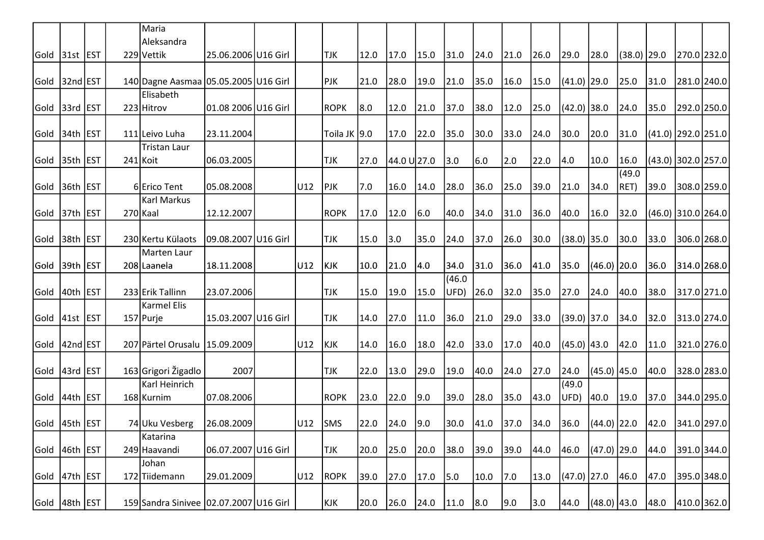|      |                  |            | Maria                                      |                     |         |               |      |             |      |        |      |      |      |               |               |               |      |                    |  |
|------|------------------|------------|--------------------------------------------|---------------------|---------|---------------|------|-------------|------|--------|------|------|------|---------------|---------------|---------------|------|--------------------|--|
|      |                  |            | Aleksandra                                 |                     |         |               |      |             |      |        |      |      |      |               |               |               |      |                    |  |
|      | Gold 31st EST    |            | 229 Vettik                                 | 25.06.2006 U16 Girl |         | <b>TJK</b>    | 12.0 | 17.0        | 15.0 | 31.0   | 24.0 | 21.0 | 26.0 | 29.0          | 28.0          | $(38.0)$ 29.0 |      | 270.0 232.0        |  |
| Gold | 32nd EST         |            | 140 Dagne Aasmaa 05.05.2005 U16 Girl       |                     |         | <b>PJK</b>    | 21.0 | 28.0        | 19.0 | 21.0   | 35.0 | 16.0 | 15.0 | (41.0) 29.0   |               | 25.0          | 31.0 | 281.0 240.0        |  |
|      |                  |            | Elisabeth                                  |                     |         |               |      |             |      |        |      |      |      |               |               |               |      |                    |  |
| Gold | 33rd EST         |            | 223 Hitrov                                 | 01.08 2006 U16 Girl |         | ROPK          | 8.0  | 12.0        | 21.0 | 37.0   | 38.0 | 12.0 | 25.0 | (42.0) 38.0   |               | 24.0          | 35.0 | 292.0 250.0        |  |
|      |                  |            |                                            |                     |         |               |      |             |      |        |      |      |      |               |               |               |      |                    |  |
| Gold | 34th EST         |            | 111 Leivo Luha                             | 23.11.2004          |         | Toila JK  9.0 |      | 17.0        | 22.0 | 35.0   | 30.0 | 33.0 | 24.0 | 30.0          | 20.0          | 31.0          |      | (41.0) 292.0 251.0 |  |
| Gold | 35 <sub>th</sub> | <b>EST</b> | <b>Tristan Laur</b><br>$241$ Koit          | 06.03.2005          |         | <b>TJK</b>    | 27.0 | 44.0 U 27.0 |      | 3.0    | 6.0  | 2.0  | 22.0 | 4.0           | 10.0          | 16.0          |      | (43.0) 302.0 257.0 |  |
|      |                  |            |                                            |                     |         |               |      |             |      |        |      |      |      |               |               | (49.0)        |      |                    |  |
| Gold | 36th EST         |            | 6 Erico Tent                               | 05.08.2008          | U12     | PJK           | 7.0  | 16.0        | 14.0 | 28.0   | 36.0 | 25.0 | 39.0 | 21.0          | 34.0          | RET)          | 39.0 | 308.0 259.0        |  |
|      |                  |            | <b>Karl Markus</b>                         |                     |         |               |      |             |      |        |      |      |      |               |               |               |      |                    |  |
|      | Gold  37th  EST  |            | 270 Kaal                                   | 12.12.2007          |         | <b>ROPK</b>   | 17.0 | 12.0        | 6.0  | 40.0   | 34.0 | 31.0 | 36.0 | 40.0          | 16.0          | 32.0          |      | (46.0) 310.0 264.0 |  |
| Gold | 38th EST         |            | 230 Kertu Külaots                          | 09.08.2007 U16 Girl |         | <b>TJK</b>    | 15.0 | 3.0         | 35.0 | 24.0   | 37.0 | 26.0 | 30.0 | $(38.0)$ 35.0 |               | 30.0          | 33.0 | 306.0 268.0        |  |
|      |                  |            | Marten Laur                                |                     |         |               |      |             |      |        |      |      |      |               |               |               |      |                    |  |
| Gold | 39th EST         |            | 208 Laanela                                | 18.11.2008          | U12     | KJK           | 10.0 | 21.0        | 4.0  | 34.0   | 31.0 | 36.0 | 41.0 | 35.0          | $(46.0)$ 20.0 |               | 36.0 | 314.0 268.0        |  |
|      |                  |            |                                            |                     |         |               |      |             |      | (46.0) |      |      |      |               |               |               |      |                    |  |
| Gold | 40th             | <b>EST</b> | 233 Erik Tallinn                           | 23.07.2006          |         | <b>TJK</b>    | 15.0 | 19.0        | 15.0 | UFD)   | 26.0 | 32.0 | 35.0 | 27.0          | 24.0          | 40.0          | 38.0 | 317.0 271.0        |  |
|      |                  |            | <b>Karmel Elis</b>                         |                     |         |               |      |             |      |        |      |      |      |               |               |               |      |                    |  |
| Gold | $ 41st $ EST     |            | 157 Purje                                  | 15.03.2007 U16 Girl |         | <b>TJK</b>    | 14.0 | 27.0        | 11.0 | 36.0   | 21.0 | 29.0 | 33.0 | (39.0) 37.0   |               | 34.0          | 32.0 | 313.0 274.0        |  |
|      | Gold 42nd EST    |            | 207 Pärtel Orusalu   15.09.2009            |                     | U12     | <b>KJK</b>    | 14.0 | 16.0        | 18.0 | 42.0   | 33.0 | 17.0 | 40.0 | (45.0) 43.0   |               | 42.0          | 11.0 | 321.0 276.0        |  |
| Gold | 43rd EST         |            | 163 Grigori Žigadlo                        | 2007                |         | TJK           | 22.0 | 13.0        | 29.0 | 19.0   | 40.0 | 24.0 | 27.0 | 24.0          | $(45.0)$ 45.0 |               | 40.0 | 328.0 283.0        |  |
|      |                  |            | Karl Heinrich                              |                     |         |               |      |             |      |        |      |      |      | (49.0)        |               |               |      |                    |  |
|      | Gold  44th  EST  |            | 168 Kurnim                                 | 07.08.2006          |         | <b>ROPK</b>   | 23.0 | 22.0        | 9.0  | 39.0   | 28.0 | 35.0 | 43.0 | UFD)          | 40.0          | 19.0          | 37.0 | 344.0 295.0        |  |
|      | Gold  45th  EST  |            | 74 Uku Vesberg                             | 26.08.2009          | U12 SMS |               | 22.0 | 24.0        | 9.0  | 30.0   | 41.0 | 37.0 | 34.0 | 36.0          | $(44.0)$ 22.0 |               | 42.0 | 341.0 297.0        |  |
|      |                  |            | Katarina                                   |                     |         |               |      |             |      |        |      |      |      |               |               |               |      |                    |  |
|      | Gold 46th EST    |            | 249 Haavandi                               | 06.07.2007 U16 Girl |         | <b>TJK</b>    | 20.0 | 25.0        | 20.0 | 38.0   | 39.0 | 39.0 | 44.0 | 46.0          | (47.0) 29.0   |               | 44.0 | 391.0 344.0        |  |
|      |                  |            | Johan                                      |                     |         |               |      |             |      |        |      |      |      |               |               |               |      |                    |  |
| Gold | $ 47th $ EST     |            | 172 Tiidemann                              | 29.01.2009          | U12     | <b>ROPK</b>   | 39.0 | 27.0        | 17.0 | 5.0    | 10.0 | 7.0  | 13.0 | $(47.0)$ 27.0 |               | 46.0          | 47.0 | 395.0 348.0        |  |
|      | Gold  48th  EST  |            | 159 Sandra Sinivee   02.07.2007   U16 Girl |                     |         | KJK           | 20.0 | 26.0        | 24.0 | 11.0   | 8.0  | 9.0  | 3.0  | 44.0          | $(48.0)$ 43.0 |               | 48.0 | 410.0 362.0        |  |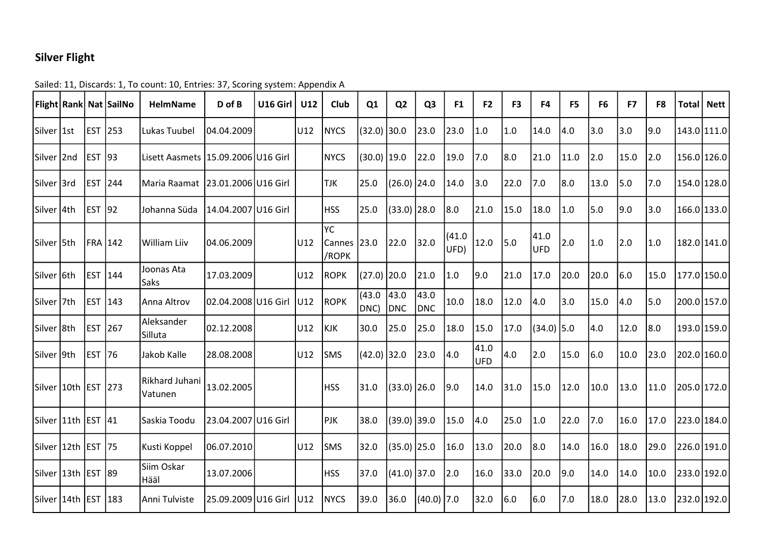## Silver Flight

|                         |                | Flight   Rank   Nat   Sail No | <b>HelmName</b>                        | D of B              | U16 Girl | U12 | Club                    | Q1             | Q <sub>2</sub>     | Q <sub>3</sub>     | F <sub>1</sub> | F <sub>2</sub>     | F <sub>3</sub> | F4          | F <sub>5</sub> | F <sub>6</sub> | F7   | F8   |             | Total   Nett |
|-------------------------|----------------|-------------------------------|----------------------------------------|---------------------|----------|-----|-------------------------|----------------|--------------------|--------------------|----------------|--------------------|----------------|-------------|----------------|----------------|------|------|-------------|--------------|
| Silver 1st              | <b>EST</b>     | $ 253\rangle$                 | Lukas Tuubel                           | 04.04.2009          |          | U12 | <b>NYCS</b>             | $(32.0)$ 30.0  |                    | 23.0               | 23.0           | 1.0                | 1.0            | 14.0        | 4.0            | 3.0            | 3.0  | 9.0  | 143.0 111.0 |              |
| Silver 2nd              | <b>EST</b>     | $ 93\rangle$                  | Lisett Aasmets   15.09.2006   U16 Girl |                     |          |     | <b>NYCS</b>             | $(30.0)$ 19.0  |                    | 22.0               | 19.0           | 7.0                | 8.0            | 21.0        | 11.0           | 2.0            | 15.0 | 2.0  | 156.0 126.0 |              |
| Silver 3rd              | <b>EST</b>     | 244                           | Maria Raamat                           | 23.01.2006 U16 Girl |          |     | <b>TJK</b>              | 25.0           | $(26.0)$ 24.0      |                    | 14.0           | 3.0                | 22.0           | 7.0         | 18.0           | 13.0           | 5.0  | 7.0  | 154.0 128.0 |              |
| Silver 4th              | <b>EST</b>     | 92                            | Johanna Süda                           | 14.04.2007 U16 Girl |          |     | <b>HSS</b>              | 25.0           | $(33.0)$ 28.0      |                    | 8.0            | 21.0               | 15.0           | 18.0        | 1.0            | 5.0            | 9.0  | 3.0  | 166.0 133.0 |              |
| Silver 5th              | <b>FRA 142</b> |                               | <b>William Liiv</b>                    | 04.06.2009          |          | U12 | lyc.<br>Cannes<br>/ROPK | 23.0           | 22.0               | 32.0               | (41.0)<br>UFD) | 12.0               | 5.0            | 41.0<br>UFD | 2.0            | 1.0            | 2.0  | 1.0  | 182.0 141.0 |              |
| Silver 6th              | <b>EST</b>     | 144                           | Joonas Ata<br>Saks                     | 17.03.2009          |          | U12 | <b>ROPK</b>             | (27.0) 20.0    |                    | 21.0               | 1.0            | 9.0                | 21.0           | 17.0        | 20.0           | 20.0           | 6.0  | 15.0 | 177.0 150.0 |              |
| Silver 7th              | <b>EST</b>     | 143                           | Anna Altrov                            | 02.04.2008 U16 Girl |          | U12 | <b>ROPK</b>             | (43.0)<br>DNC) | 43.0<br><b>DNC</b> | 43.0<br><b>DNC</b> | 10.0           | 18.0               | 12.0           | 4.0         | 3.0            | 15.0           | 4.0  | 5.0  | 200.0 157.0 |              |
| Silver 8th              | <b>IEST</b>    | 267                           | Aleksander<br>Silluta                  | 02.12.2008          |          | U12 | <b>KJK</b>              | 30.0           | 25.0               | 25.0               | 18.0           | 15.0               | 17.0           | (34.0) 5.0  |                | 4.0            | 12.0 | 8.0  | 193.0 159.0 |              |
| Silver 9th              | <b>EST</b>     | 76                            | Jakob Kalle                            | 28.08.2008          |          | U12 | <b>SMS</b>              | (42.0) 32.0    |                    | 23.0               | 4.0            | 41.0<br><b>UFD</b> | 4.0            | 2.0         | 15.0           | 6.0            | 10.0 | 23.0 | 202.0 160.0 |              |
| Silver 10th   EST   273 |                |                               | Rikhard Juhani<br>Vatunen              | 13.02.2005          |          |     | <b>HSS</b>              | 31.0           | $(33.0)$ 26.0      |                    | 9.0            | 14.0               | 31.0           | 15.0        | 12.0           | 10.0           | 13.0 | 11.0 | 205.0 172.0 |              |
| Silver 11th EST         |                | 41                            | Saskia Toodu                           | 23.04.2007 U16 Girl |          |     | PJK                     | 38.0           | $(39.0)$ 39.0      |                    | 15.0           | 4.0                | 25.0           | 1.0         | 22.0           | 7.0            | 16.0 | 17.0 | 223.0 184.0 |              |
| Silver 12th EST         |                | 175                           | Kusti Koppel                           | 06.07.2010          |          | U12 | <b>SMS</b>              | 32.0           | $(35.0)$ 25.0      |                    | 16.0           | 13.0               | 20.0           | 8.0         | 14.0           | 16.0           | 18.0 | 29.0 | 226.0 191.0 |              |
| Silver 13th EST 189     |                |                               | Siim Oskar<br>Hääl                     | 13.07.2006          |          |     | <b>HSS</b>              | 37.0           | $(41.0)$ 37.0      |                    | 2.0            | 16.0               | 33.0           | 20.0        | 9.0            | 14.0           | 14.0 | 10.0 | 233.0 192.0 |              |
| Silver 14th EST 183     |                |                               | Anni Tulviste                          | 25.09.2009 U16 Girl |          | U12 | <b>NYCS</b>             | 39.0           | 36.0               | $(40.0)$ 7.0       |                | 32.0               | 6.0            | 6.0         | 7.0            | 18.0           | 28.0 | 13.0 | 232.0 192.0 |              |

## Sailed: 11, Discards: 1, To count: 10, Entries: 37, Scoring system: Appendix A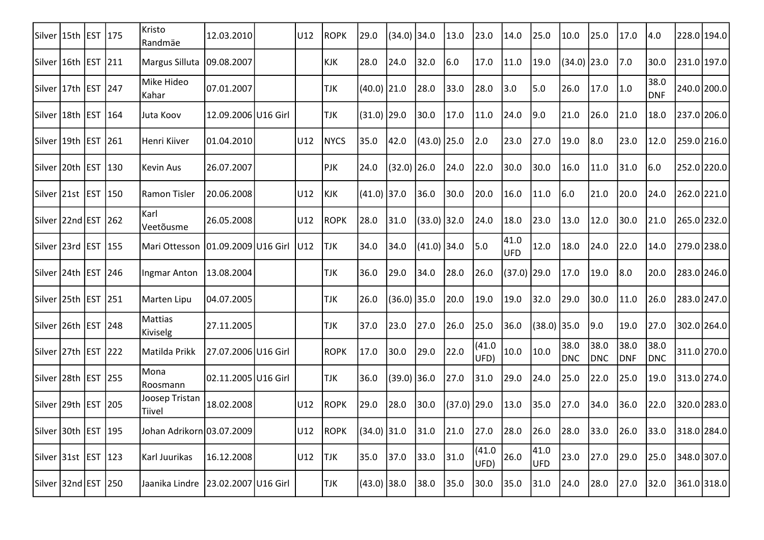| Silver   15th   EST   175 |             |               | Kristo<br>Randmäe                  | 12.03.2010          | U12 | <b>ROPK</b> | 29.0          | (34.0)        | 34.0          | 13.0          | 23.0           | 14.0          | 25.0               | 10.0               | 25.0               | 17.0               | 4.0                | 228.0 194.0   |
|---------------------------|-------------|---------------|------------------------------------|---------------------|-----|-------------|---------------|---------------|---------------|---------------|----------------|---------------|--------------------|--------------------|--------------------|--------------------|--------------------|---------------|
| Silver   16th   EST   211 |             |               | Margus Silluta                     | 09.08.2007          |     | <b>KJK</b>  | 28.0          | 24.0          | 32.0          | 6.0           | 17.0           | 11.0          | 19.0               | (34.0) 23.0        |                    | 7.0                | 30.0               | 231.0 197.0   |
| Silver   17th   EST   247 |             |               | Mike Hideo<br>Kahar                | 07.01.2007          |     | <b>TJK</b>  | $(40.0)$ 21.0 |               | 28.0          | 33.0          | 28.0           | 3.0           | 5.0                | 26.0               | 17.0               | 1.0                | 38.0<br>DNF        | 240.0 200.0   |
| Silver 18th EST           |             | 164           | Juta Koov                          | 12.09.2006 U16 Girl |     | <b>TJK</b>  | $(31.0)$ 29.0 |               | 30.0          | 17.0          | 11.0           | 24.0          | 9.0                | 21.0               | 26.0               | 21.0               | 18.0               | 237.0 206.0   |
| Silver 19th EST           |             | $ 261\rangle$ | Henri Kiiver                       | 01.04.2010          | U12 | <b>NYCS</b> | 35.0          | 42.0          | $(43.0)$ 25.0 |               | 2.0            | 23.0          | 27.0               | 19.0               | 8.0                | 23.0               | 12.0               | 259.0 216.0   |
| Silver 20th EST           |             | $ 130\rangle$ | <b>Kevin Aus</b>                   | 26.07.2007          |     | PJK         | 24.0          | (32.0) 26.0   |               | 24.0          | 22.0           | 30.0          | 30.0               | 16.0               | 11.0               | 31.0               | 6.0                | 252.0 220.0   |
| Silver 21st EST           |             | 150           | Ramon Tisler                       | 20.06.2008          | U12 | KJK         | $(41.0)$ 37.0 |               | 36.0          | 30.0          | 20.0           | 16.0          | 11.0               | 6.0                | 21.0               | 20.0               | 24.0               | 262.0 221.0   |
| Silver $ 22nd EST$ $ 262$ |             |               | Karl<br>Veetõusme                  | 26.05.2008          | U12 | <b>ROPK</b> | 28.0          | 31.0          | $(33.0)$ 32.0 |               | 24.0           | 18.0          | 23.0               | 13.0               | 12.0               | 30.0               | 21.0               | $265.0$ 232.0 |
| Silver 23rd EST 155       |             |               | Mari Ottesson                      | 01.09.2009 U16 Girl | U12 | <b>TJK</b>  | 34.0          | 34.0          | $(41.0)$ 34.0 |               | 5.0            | 41.0<br>UFD   | 12.0               | 18.0               | 24.0               | 22.0               | 14.0               | 279.0 238.0   |
| Silver 24th EST           |             | 246           | Ingmar Anton                       | 13.08.2004          |     | <b>TJK</b>  | 36.0          | 29.0          | 34.0          | 28.0          | 26.0           | $(37.0)$ 29.0 |                    | 17.0               | 19.0               | 8.0                | 20.0               | 283.0 246.0   |
| Silver 25th EST 251       |             |               | <b>Marten Lipu</b>                 | 04.07.2005          |     | <b>TJK</b>  | 26.0          | $(36.0)$ 35.0 |               | 20.0          | 19.0           | 19.0          | 32.0               | 29.0               | 30.0               | 11.0               | 26.0               | 283.0 247.0   |
| Silver 26th EST 248       |             |               | <b>Mattias</b><br>Kiviselg         | 27.11.2005          |     | <b>TJK</b>  | 37.0          | 23.0          | 27.0          | 26.0          | 25.0           | 36.0          | $(38.0)$ 35.0      |                    | 9.0                | 19.0               | 27.0               | 302.0 264.0   |
| Silver 27th EST 222       |             |               | Matilda Prikk                      | 27.07.2006 U16 Girl |     | <b>ROPK</b> | 17.0          | 30.0          | 29.0          | 22.0          | (41.0)<br>UFD) | 10.0          | 10.0               | 38.0<br><b>DNC</b> | 38.0<br><b>DNC</b> | 38.0<br><b>DNF</b> | 38.0<br><b>DNC</b> | 311.0 270.0   |
| Silver 28th EST 255       |             |               | Mona<br>Roosmann                   | 02.11.2005 U16 Girl |     | <b>TJK</b>  | 36.0          | $(39.0)$ 36.0 |               | 27.0          | 31.0           | 29.0          | 24.0               | 25.0               | 22.0               | 25.0               | 19.0               | 313.0 274.0   |
| Silver 29th EST 205       |             |               | Joosep Tristan<br>Tiivel           | 18.02.2008          | U12 | <b>ROPK</b> | 29.0          | 28.0          | 30.0          | $(37.0)$ 29.0 |                | 13.0          | 35.0               | 27.0               | 34.0               | 36.0               | 22.0               | 320.0 283.0   |
| Silver 30th               | <b>IEST</b> | 195           | Johan Adrikorn 03.07.2009          |                     | U12 | <b>ROPK</b> | $(34.0)$ 31.0 |               | 31.0          | 21.0          | 27.0           | 28.0          | 26.0               | 28.0               | 33.0               | 26.0               | 33.0               | 318.0 284.0   |
| Silver 31st EST           |             | $ 123\rangle$ | Karl Juurikas                      | 16.12.2008          | U12 | <b>TJK</b>  | 35.0          | 37.0          | 33.0          | 31.0          | (41.0)<br>UFD) | 26.0          | 41.0<br><b>UFD</b> | 23.0               | 27.0               | 29.0               | 25.0               | 348.0 307.0   |
| Silver 32nd EST           |             | 250           | Jaanika Lindre 23.02.2007 U16 Girl |                     |     | <b>TJK</b>  | $(43.0)$ 38.0 |               | 38.0          | 35.0          | 30.0           | 35.0          | 31.0               | 24.0               | 28.0               | 27.0               | 32.0               | 361.0 318.0   |